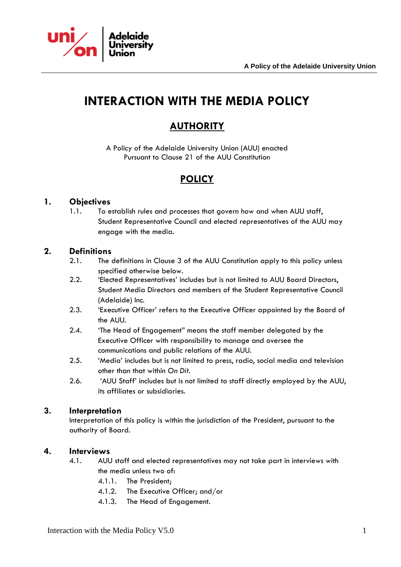

# **INTERACTION WITH THE MEDIA POLICY**

### **AUTHORITY**

A Policy of the Adelaide University Union (AUU) enacted Pursuant to Clause 21 of the AUU Constitution

### **POLICY**

#### **1. Objectives**

1.1. To establish rules and processes that govern how and when AUU staff, Student Representative Council and elected representatives of the AUU may engage with the media.

#### **2. Definitions**

- 2.1. The definitions in Clause 3 of the AUU Constitution apply to this policy unless specified otherwise below.
- 2.2. 'Elected Representatives' includes but is not limited to AUU Board Directors, Student Media Directors and members of the Student Representative Council (Adelaide) Inc.
- 2.3. 'Executive Officer' refers to the Executive Officer appointed by the Board of the AUU.
- 2.4. 'The Head of Engagement" means the staff member delegated by the Executive Officer with responsibility to manage and oversee the communications and public relations of the AUU.
- 2.5. 'Media' includes but is not limited to press, radio, social media and television other than that within *On Dit*.
- 2.6. 'AUU Staff' includes but is not limited to staff directly employed by the AUU, its affiliates or subsidiaries.

#### **3. Interpretation**

Interpretation of this policy is within the jurisdiction of the President, pursuant to the authority of Board.

#### **4. Interviews**

- 4.1. AUU staff and elected representatives may not take part in interviews with the media unless two of:
	- 4.1.1. The President;
	- 4.1.2. The Executive Officer; and/or
	- 4.1.3. The Head of Engagement.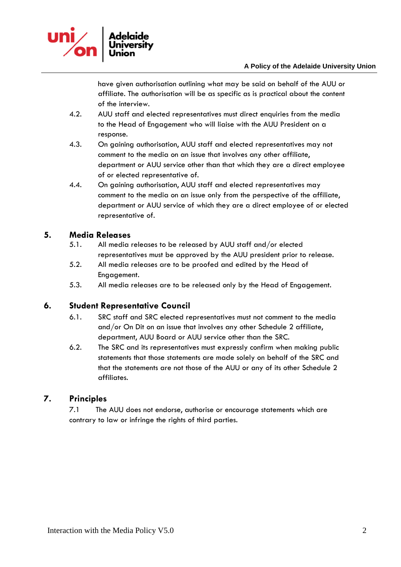

have given authorisation outlining what may be said on behalf of the AUU or affiliate. The authorisation will be as specific as is practical about the content of the interview.

- 4.2. AUU staff and elected representatives must direct enquiries from the media to the Head of Engagement who will liaise with the AUU President on a response.
- 4.3. On gaining authorisation, AUU staff and elected representatives may not comment to the media on an issue that involves any other affiliate, department or AUU service other than that which they are a direct employee of or elected representative of.
- 4.4. On gaining authorisation, AUU staff and elected representatives may comment to the media on an issue only from the perspective of the affiliate, department or AUU service of which they are a direct employee of or elected representative of.

#### **5. Media Releases**

- 5.1. All media releases to be released by AUU staff and/or elected representatives must be approved by the AUU president prior to release.
- 5.2. All media releases are to be proofed and edited by the Head of Engagement.
- 5.3. All media releases are to be released only by the Head of Engagement.

#### **6. Student Representative Council**

- 6.1. SRC staff and SRC elected representatives must not comment to the media and/or On Dit on an issue that involves any other Schedule 2 affiliate, department, AUU Board or AUU service other than the SRC.
- 6.2. The SRC and its representatives must expressly confirm when making public statements that those statements are made solely on behalf of the SRC and that the statements are not those of the AUU or any of its other Schedule 2 affiliates.

### **7. Principles**

7.1 The AUU does not endorse, authorise or encourage statements which are contrary to law or infringe the rights of third parties.